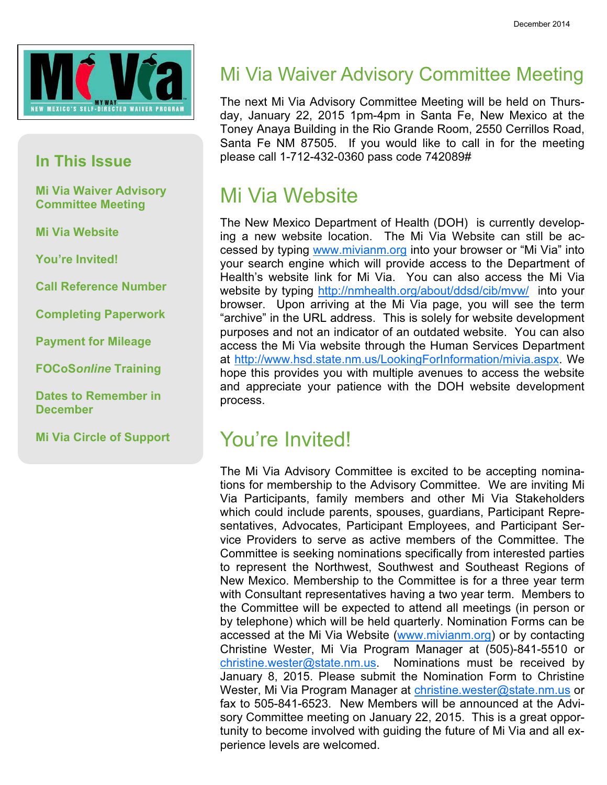

#### In This Issue

Mi Via Waiver Advisory Committee Meeting

Mi Via Website

You're Invited!

Call Reference Number

Completing Paperwork

Payment for Mileage

FOCoSonline Training

Dates to Remember in **December** 

Mi Via Circle of Support

#### Mi Via Waiver Advisory Committee Meeting

The next Mi Via Advisory Committee Meeting will be held on Thursday, January 22, 2015 1pm-4pm in Santa Fe, New Mexico at the Toney Anaya Building in the Rio Grande Room, 2550 Cerrillos Road, Santa Fe NM 87505. If you would like to call in for the meeting please call 1-712-432-0360 pass code 742089#

#### Mi Via Website

The New Mexico Department of Health (DOH) is currently developing a new website location. The Mi Via Website can still be accessed by typing www.mivianm.org into your browser or "Mi Via" into your search engine which will provide access to the Department of Health's website link for Mi Via. You can also access the Mi Via website by typing http://nmhealth.org/about/ddsd/cib/mvw/ into your browser. Upon arriving at the Mi Via page, you will see the term "archive" in the URL address. This is solely for website development purposes and not an indicator of an outdated website. You can also access the Mi Via website through the Human Services Department at http://www.hsd.state.nm.us/LookingForInformation/mivia.aspx. We hope this provides you with multiple avenues to access the website and appreciate your patience with the DOH website development process.

#### You're Invited!

The Mi Via Advisory Committee is excited to be accepting nominations for membership to the Advisory Committee. We are inviting Mi Via Participants, family members and other Mi Via Stakeholders which could include parents, spouses, guardians, Participant Representatives, Advocates, Participant Employees, and Participant Service Providers to serve as active members of the Committee. The Committee is seeking nominations specifically from interested parties to represent the Northwest, Southwest and Southeast Regions of New Mexico. Membership to the Committee is for a three year term with Consultant representatives having a two year term. Members to the Committee will be expected to attend all meetings (in person or by telephone) which will be held quarterly. Nomination Forms can be accessed at the Mi Via Website (www.mivianm.org) or by contacting Christine Wester, Mi Via Program Manager at (505)-841-5510 or christine.wester@state.nm.us. Nominations must be received by January 8, 2015. Please submit the Nomination Form to Christine Wester, Mi Via Program Manager at christine.wester@state.nm.us or fax to 505-841-6523. New Members will be announced at the Advisory Committee meeting on January 22, 2015. This is a great opportunity to become involved with guiding the future of Mi Via and all experience levels are welcomed.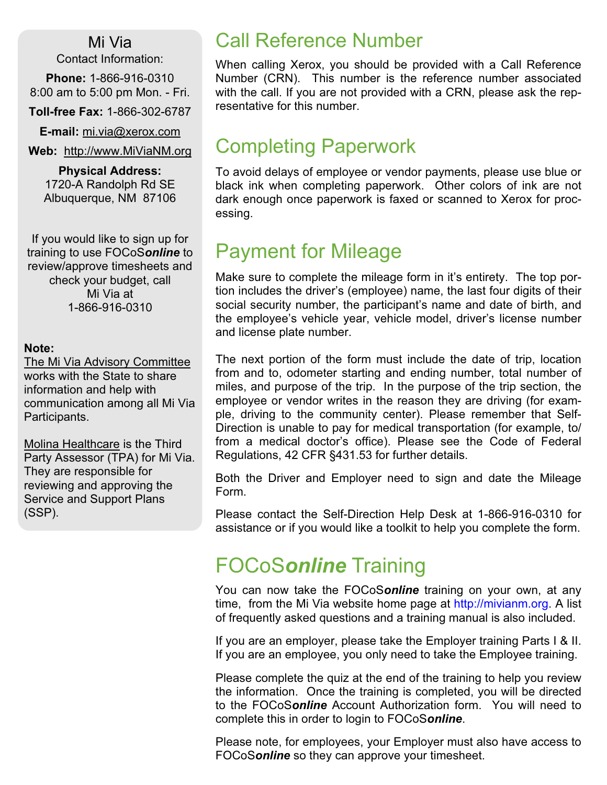Mi Via

Contact Information:

Phone: 1-866-916-0310 8:00 am to 5:00 pm Mon. - Fri.

Toll-free Fax: 1-866-302-6787

E-mail: mi.via@xerox.com

Web: http://www.MiViaNM.org

Physical Address: 1720-A Randolph Rd SE Albuquerque, NM 87106

If you would like to sign up for training to use FOCoSonline to review/approve timesheets and check your budget, call Mi Via at 1-866-916-0310

#### Note:

The Mi Via Advisory Committee works with the State to share information and help with communication among all Mi Via Participants.

Molina Healthcare is the Third Party Assessor (TPA) for Mi Via. They are responsible for reviewing and approving the Service and Support Plans (SSP).

### Call Reference Number

When calling Xerox, you should be provided with a Call Reference Number (CRN). This number is the reference number associated with the call. If you are not provided with a CRN, please ask the representative for this number.

#### Completing Paperwork

To avoid delays of employee or vendor payments, please use blue or black ink when completing paperwork. Other colors of ink are not dark enough once paperwork is faxed or scanned to Xerox for processing.

#### Payment for Mileage

Make sure to complete the mileage form in it's entirety. The top portion includes the driver's (employee) name, the last four digits of their social security number, the participant's name and date of birth, and the employee's vehicle year, vehicle model, driver's license number and license plate number.

The next portion of the form must include the date of trip, location from and to, odometer starting and ending number, total number of miles, and purpose of the trip. In the purpose of the trip section, the employee or vendor writes in the reason they are driving (for example, driving to the community center). Please remember that Self-Direction is unable to pay for medical transportation (for example, to/ from a medical doctor's office). Please see the Code of Federal Regulations, 42 CFR §431.53 for further details.

Both the Driver and Employer need to sign and date the Mileage Form.

Please contact the Self-Direction Help Desk at 1-866-916-0310 for assistance or if you would like a toolkit to help you complete the form.

## FOCoSonline Training

You can now take the FOCoSonline training on your own, at any time, from the Mi Via website home page at http://mivianm.org. A list of frequently asked questions and a training manual is also included.

If you are an employer, please take the Employer training Parts I & II. If you are an employee, you only need to take the Employee training.

Please complete the quiz at the end of the training to help you review the information. Once the training is completed, you will be directed to the FOCoSonline Account Authorization form. You will need to complete this in order to login to FOCoSonline.

Please note, for employees, your Employer must also have access to FOCoSonline so they can approve your timesheet.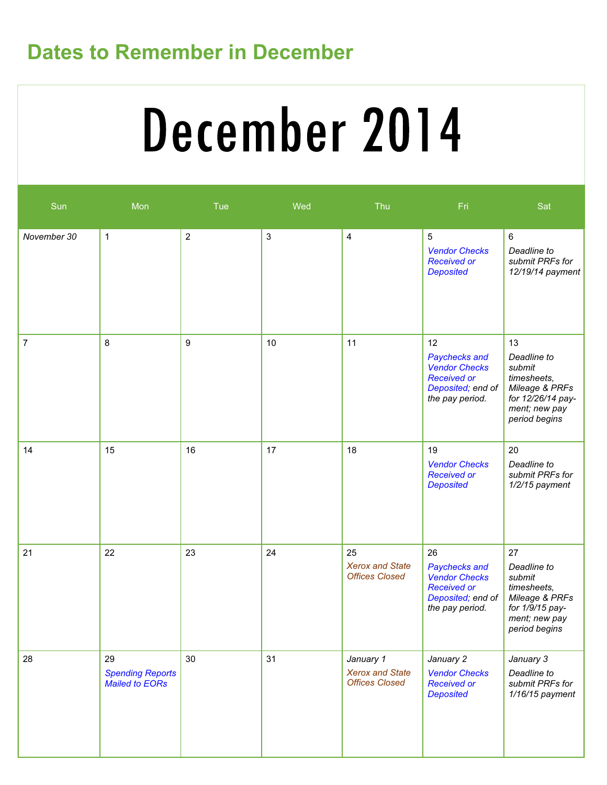## Dates to Remember in December

# December 2014

| Sun            | Mon                                                    | Tue        | Wed          | Thu                                                          | Fri                                                                                                              | Sat                                                                                                                 |
|----------------|--------------------------------------------------------|------------|--------------|--------------------------------------------------------------|------------------------------------------------------------------------------------------------------------------|---------------------------------------------------------------------------------------------------------------------|
| November 30    | $\mathbf{1}$                                           | $\sqrt{2}$ | $\mathbf{3}$ | $\overline{4}$                                               | 5<br><b>Vendor Checks</b><br><b>Received or</b><br><b>Deposited</b>                                              | $\,6\,$<br>Deadline to<br>submit PRFs for<br>12/19/14 payment                                                       |
| $\overline{7}$ | 8                                                      | 9          | 10           | 11                                                           | 12<br><b>Paychecks and</b><br><b>Vendor Checks</b><br><b>Received or</b><br>Deposited; end of<br>the pay period. | 13<br>Deadline to<br>submit<br>timesheets,<br>Mileage & PRFs<br>for 12/26/14 pay-<br>ment; new pay<br>period begins |
| 14             | 15                                                     | 16         | 17           | 18                                                           | 19<br><b>Vendor Checks</b><br><b>Received or</b><br><b>Deposited</b>                                             | 20<br>Deadline to<br>submit PRFs for<br>1/2/15 payment                                                              |
| 21             | 22                                                     | 23         | 24           | 25<br><b>Xerox and State</b><br><b>Offices Closed</b>        | 26<br>Paychecks and<br><b>Vendor Checks</b><br><b>Received or</b><br>Deposited; end of<br>the pay period.        | 27<br>Deadline to<br>submit<br>timesheets,<br>Mileage & PRFs<br>for 1/9/15 pay-<br>ment; new pay<br>period begins   |
| 28             | 29<br><b>Spending Reports</b><br><b>Mailed to EORs</b> | 30         | 31           | January 1<br><b>Xerox and State</b><br><b>Offices Closed</b> | January 2<br><b>Vendor Checks</b><br><b>Received or</b><br><b>Deposited</b>                                      | January 3<br>Deadline to<br>submit PRFs for<br>$1/16/15$ payment                                                    |